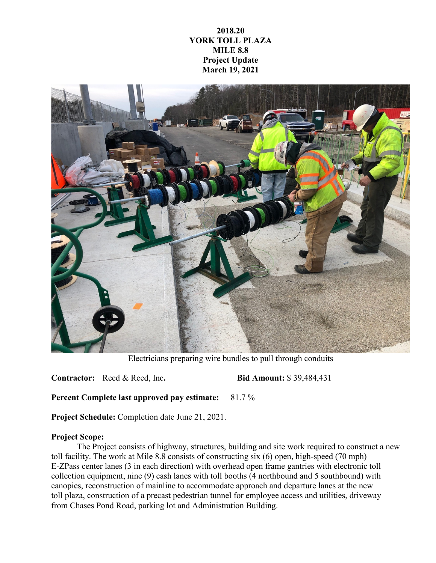## **2018.20 YORK TOLL PLAZA MILE 8.8 Project Update March 19, 2021**



Electricians preparing wire bundles to pull through conduits

**Contractor:** Reed & Reed, Inc**. Bid Amount:** \$ 39,484,431

**Percent Complete last approved pay estimate:** 81.7 %

**Project Schedule:** Completion date June 21, 2021.

## **Project Scope:**

The Project consists of highway, structures, building and site work required to construct a new toll facility. The work at Mile 8.8 consists of constructing six (6) open, high-speed (70 mph) E-ZPass center lanes (3 in each direction) with overhead open frame gantries with electronic toll collection equipment, nine (9) cash lanes with toll booths (4 northbound and 5 southbound) with canopies, reconstruction of mainline to accommodate approach and departure lanes at the new toll plaza, construction of a precast pedestrian tunnel for employee access and utilities, driveway from Chases Pond Road, parking lot and Administration Building.